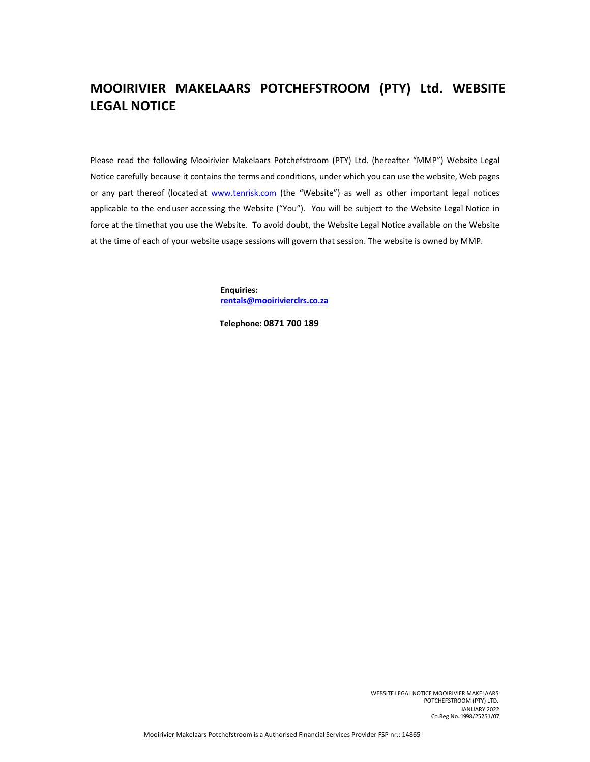# **MOOIRIVIER MAKELAARS POTCHEFSTROOM (PTY) Ltd. WEBSITE LEGAL NOTICE**

Please read the following Mooirivier Makelaars Potchefstroom (PTY) Ltd. (hereafter "MMP") Website Legal Notice carefully because it contains the terms and conditions, under which you can use the website, Web pages or any part thereof (located at www.tenrisk.com (the "Website") as well as other important legal notices applicable to the enduser accessing the Website ("You"). You will be subject to the Website Legal Notice in force at the timethat you use the Website. To avoid doubt, the Website Legal Notice available on the Website at the time of each of your website usage sessions will govern that session. The website is owned by MMP.

> **Enquiries: rentals@mooirivierclrs.co.za**

**Telephone: 0871 700 189**

WEBSITE LEGAL NOTICE MOOIRIVIER MAKELAARS POTCHEFSTROOM (PTY) LTD. JANUARY 2022 Co.Reg No. 1998/25251/07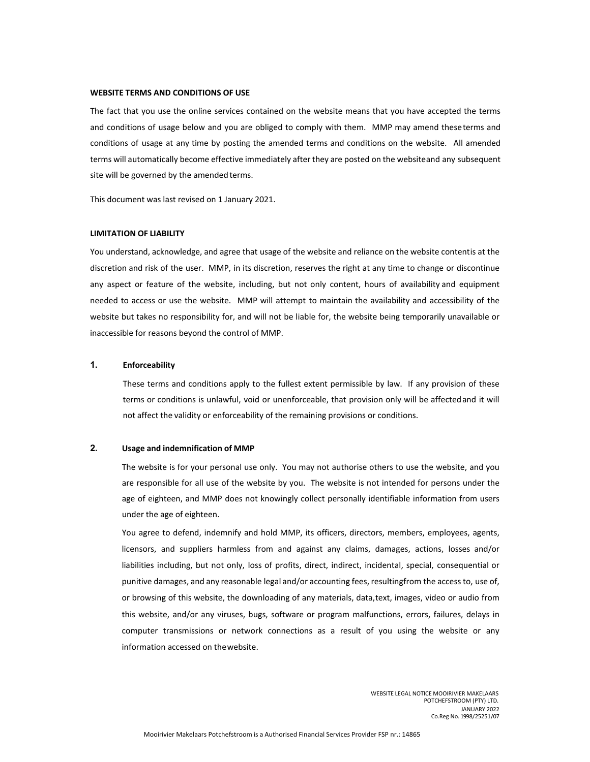#### **WEBSITE TERMS AND CONDITIONS OF USE**

The fact that you use the online services contained on the website means that you have accepted the terms and conditions of usage below and you are obliged to comply with them. MMP may amend theseterms and conditions of usage at any time by posting the amended terms and conditions on the website. All amended terms will automatically become effective immediately after they are posted on the websiteand any subsequent site will be governed by the amended terms.

This document was last revised on 1 January 2021.

## **LIMITATION OF LIABILITY**

You understand, acknowledge, and agree that usage of the website and reliance on the website contentis at the discretion and risk of the user. MMP, in its discretion, reserves the right at any time to change or discontinue any aspect or feature of the website, including, but not only content, hours of availability and equipment needed to access or use the website. MMP will attempt to maintain the availability and accessibility of the website but takes no responsibility for, and will not be liable for, the website being temporarily unavailable or inaccessible for reasons beyond the control of MMP.

## **1. Enforceability**

These terms and conditions apply to the fullest extent permissible by law. If any provision of these terms or conditions is unlawful, void or unenforceable, that provision only will be affectedand it will not affect the validity or enforceability of the remaining provisions or conditions.

## **2. Usage and indemnification of MMP**

The website is for your personal use only. You may not authorise others to use the website, and you are responsible for all use of the website by you. The website is not intended for persons under the age of eighteen, and MMP does not knowingly collect personally identifiable information from users under the age of eighteen.

You agree to defend, indemnify and hold MMP, its officers, directors, members, employees, agents, licensors, and suppliers harmless from and against any claims, damages, actions, losses and/or liabilities including, but not only, loss of profits, direct, indirect, incidental, special, consequential or punitive damages, and any reasonable legal and/or accounting fees, resultingfrom the access to, use of, or browsing of this website, the downloading of any materials, data,text, images, video or audio from this website, and/or any viruses, bugs, software or program malfunctions, errors, failures, delays in computer transmissions or network connections as a result of you using the website or any information accessed on thewebsite.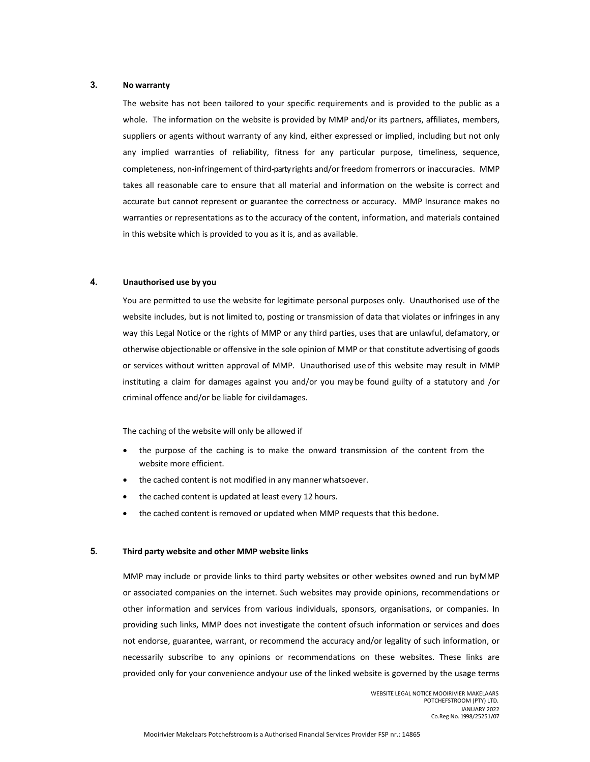## **3. No warranty**

The website has not been tailored to your specific requirements and is provided to the public as a whole. The information on the website is provided by MMP and/or its partners, affiliates, members, suppliers or agents without warranty of any kind, either expressed or implied, including but not only any implied warranties of reliability, fitness for any particular purpose, timeliness, sequence, completeness, non-infringement of third-party rights and/or freedom fromerrors or inaccuracies. MMP takes all reasonable care to ensure that all material and information on the website is correct and accurate but cannot represent or guarantee the correctness or accuracy. MMP Insurance makes no warranties or representations as to the accuracy of the content, information, and materials contained in this website which is provided to you as it is, and as available.

## **4. Unauthorised use by you**

You are permitted to use the website for legitimate personal purposes only. Unauthorised use of the website includes, but is not limited to, posting or transmission of data that violates or infringes in any way this Legal Notice or the rights of MMP or any third parties, uses that are unlawful, defamatory, or otherwise objectionable or offensive in the sole opinion of MMP or that constitute advertising of goods or services without written approval of MMP. Unauthorised useof this website may result in MMP instituting a claim for damages against you and/or you may be found guilty of a statutory and /or criminal offence and/or be liable for civildamages.

The caching of the website will only be allowed if

- the purpose of the caching is to make the onward transmission of the content from the website more efficient.
- the cached content is not modified in any mannerwhatsoever.
- the cached content is updated at least every 12 hours.
- the cached content is removed or updated when MMP requests that this bedone.

#### **5. Third party website and other MMP website links**

MMP may include or provide links to third party websites or other websites owned and run byMMP or associated companies on the internet. Such websites may provide opinions, recommendations or other information and services from various individuals, sponsors, organisations, or companies. In providing such links, MMP does not investigate the content ofsuch information or services and does not endorse, guarantee, warrant, or recommend the accuracy and/or legality of such information, or necessarily subscribe to any opinions or recommendations on these websites. These links are provided only for your convenience andyour use of the linked website is governed by the usage terms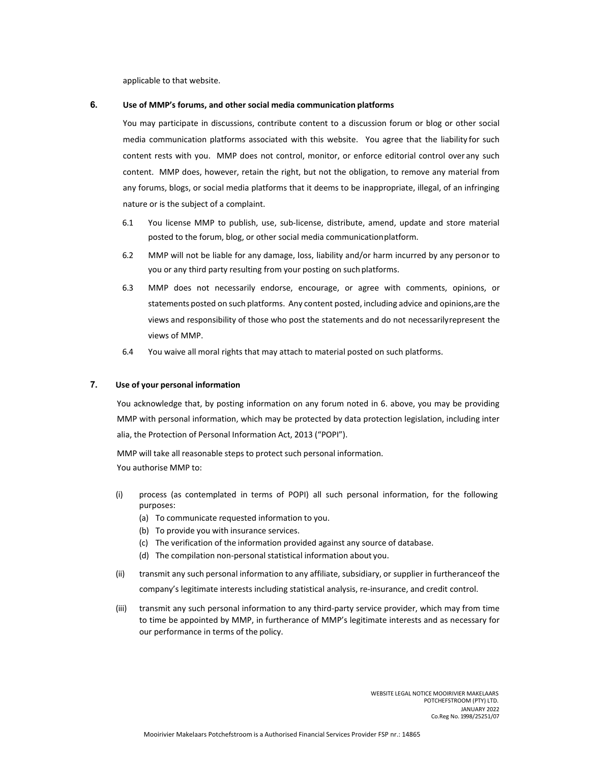applicable to that website.

## **6. Use of MMP's forums, and other social media communication platforms**

You may participate in discussions, contribute content to a discussion forum or blog or other social media communication platforms associated with this website. You agree that the liability for such content rests with you. MMP does not control, monitor, or enforce editorial control over any such content. MMP does, however, retain the right, but not the obligation, to remove any material from any forums, blogs, or social media platforms that it deems to be inappropriate, illegal, of an infringing nature or is the subject of a complaint.

- 6.1 You license MMP to publish, use, sub‐license, distribute, amend, update and store material posted to the forum, blog, or other social media communicationplatform.
- 6.2 MMP will not be liable for any damage, loss, liability and/or harm incurred by any personor to you or any third party resulting from your posting on such platforms.
- 6.3 MMP does not necessarily endorse, encourage, or agree with comments, opinions, or statements posted on such platforms. Any content posted, including advice and opinions,are the views and responsibility of those who post the statements and do not necessarilyrepresent the views of MMP.
- 6.4 You waive all moral rights that may attach to material posted on such platforms.

## **7. Use of your personal information**

You acknowledge that, by posting information on any forum noted in 6. above, you may be providing MMP with personal information, which may be protected by data protection legislation, including inter alia, the Protection of Personal Information Act, 2013 ("POPI").

MMP will take all reasonable steps to protect such personal information. You authorise MMP to:

- (i) process (as contemplated in terms of POPI) all such personal information, for the following purposes:
	- (a) To communicate requested information to you.
	- (b) To provide you with insurance services.
	- (c) The verification of the information provided against any source of database.
	- (d) The compilation non‐personal statistical information about you.
- (ii) transmit any such personal information to any affiliate, subsidiary, or supplier in furtheranceof the company's legitimate interests including statistical analysis, re-insurance, and credit control.
- (iii) transmit any such personal information to any third‐party service provider, which may from time to time be appointed by MMP, in furtherance of MMP's legitimate interests and as necessary for our performance in terms of the policy.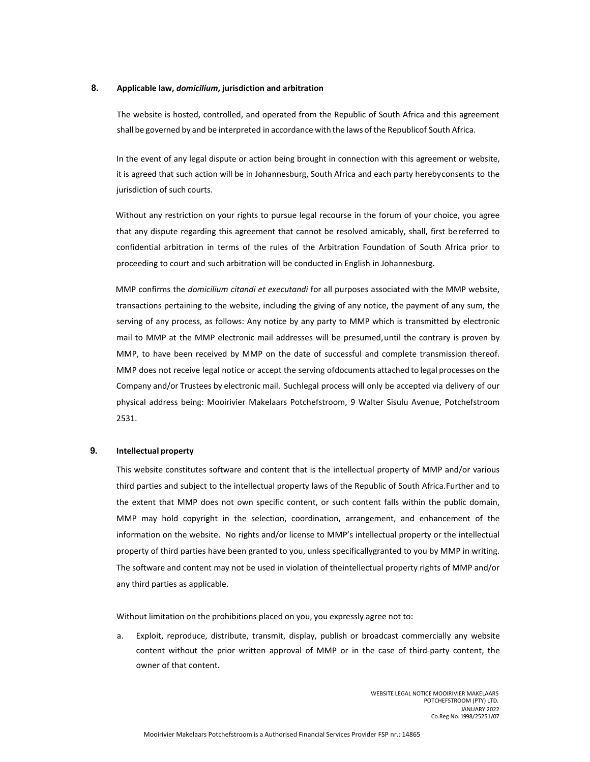## **8. Applicable law,** *domicilium***, jurisdiction and arbitration**

The website is hosted, controlled, and operated from the Republic of South Africa and this agreement shall be governed by and be interpreted in accordance with the laws of the Republicof South Africa.

In the event of any legal dispute or action being brought in connection with this agreement or website, it is agreed that such action will be in Johannesburg, South Africa and each party herebyconsents to the jurisdiction of such courts.

Without any restriction on your rights to pursue legal recourse in the forum of your choice, you agree that any dispute regarding this agreement that cannot be resolved amicably, shall, first bereferred to confidential arbitration in terms of the rules of the Arbitration Foundation of South Africa prior to proceeding to court and such arbitration will be conducted in English in Johannesburg.

MMP confirms the *domicilium citandi et executandi* for all purposes associated with the MMP website, transactions pertaining to the website, including the giving of any notice, the payment of any sum, the serving of any process, as follows: Any notice by any party to MMP which is transmitted by electronic mail to MMP at the MMP electronic mail addresses will be presumed,until the contrary is proven by MMP, to have been received by MMP on the date of successful and complete transmission thereof. MMP does not receive legal notice or accept the serving ofdocuments attached to legal processes on the Company and/or Trustees by electronic mail. Suchlegal process will only be accepted via delivery of our physical address being: Mooirivier Makelaars Potchefstroom, 9 Walter Sisulu Avenue, Potchefstroom 2531.

## **9. Intellectual property**

This website constitutes software and content that is the intellectual property of MMP and/or various third parties and subject to the intellectual property laws of the Republic of South Africa. Further and to the extent that MMP does not own specific content, or such content falls within the public domain, MMP may hold copyright in the selection, coordination, arrangement, and enhancement of the information on the website. No rights and/or license to MMP's intellectual property or the intellectual property of third parties have been granted to you, unless specificallygranted to you by MMP in writing. The software and content may not be used in violation of theintellectual property rights of MMP and/or any third parties as applicable.

Without limitation on the prohibitions placed on you, you expressly agree not to:

a. Exploit, reproduce, distribute, transmit, display, publish or broadcast commercially any website content without the prior written approval of MMP or in the case of third-party content, the owner of that content.